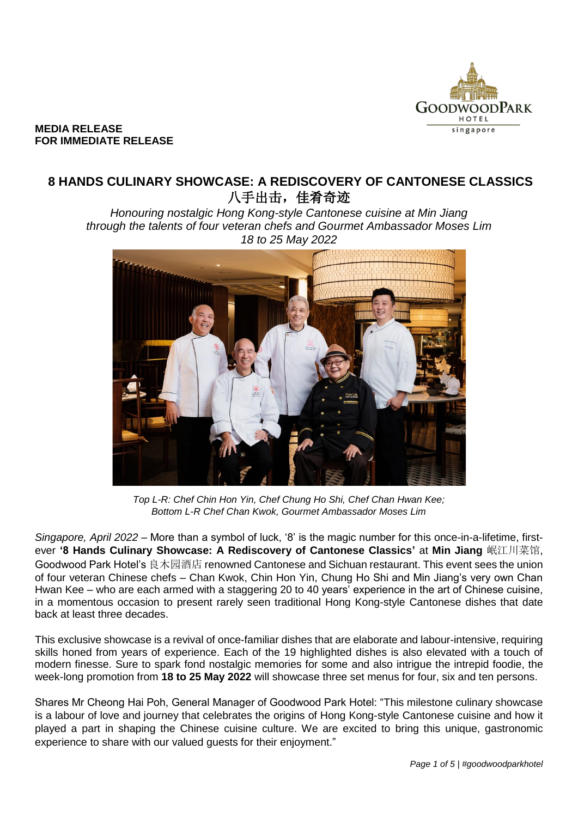

### **MEDIA RELEASE FOR IMMEDIATE RELEASE**

# **8 HANDS CULINARY SHOWCASE: A REDISCOVERY OF CANTONESE CLASSICS** 八手出击,佳肴奇迹

*Honouring nostalgic Hong Kong-style Cantonese cuisine at Min Jiang through the talents of four veteran chefs and Gourmet Ambassador Moses Lim 18 to 25 May 2022*



*Top L-R: Chef Chin Hon Yin, Chef Chung Ho Shi, Chef Chan Hwan Kee; Bottom L-R Chef Chan Kwok, Gourmet Ambassador Moses Lim*

*Singapore, April 2022* – More than a symbol of luck, '8' is the magic number for this once-in-a-lifetime, firstever **'8 Hands Culinary Showcase: A Rediscovery of Cantonese Classics'** at **Min Jiang** 岷江川菜馆, Goodwood Park Hotel's 良木园酒店 renowned Cantonese and Sichuan restaurant. This event sees the union of four veteran Chinese chefs – Chan Kwok, Chin Hon Yin, Chung Ho Shi and Min Jiang's very own Chan Hwan Kee – who are each armed with a staggering 20 to 40 years' experience in the art of Chinese cuisine, in a momentous occasion to present rarely seen traditional Hong Kong-style Cantonese dishes that date back at least three decades.

This exclusive showcase is a revival of once-familiar dishes that are elaborate and labour-intensive, requiring skills honed from years of experience. Each of the 19 highlighted dishes is also elevated with a touch of modern finesse. Sure to spark fond nostalgic memories for some and also intrigue the intrepid foodie, the week-long promotion from **18 to 25 May 2022** will showcase three set menus for four, six and ten persons.

Shares Mr Cheong Hai Poh, General Manager of Goodwood Park Hotel: "This milestone culinary showcase is a labour of love and journey that celebrates the origins of Hong Kong-style Cantonese cuisine and how it played a part in shaping the Chinese cuisine culture. We are excited to bring this unique, gastronomic experience to share with our valued guests for their enjoyment."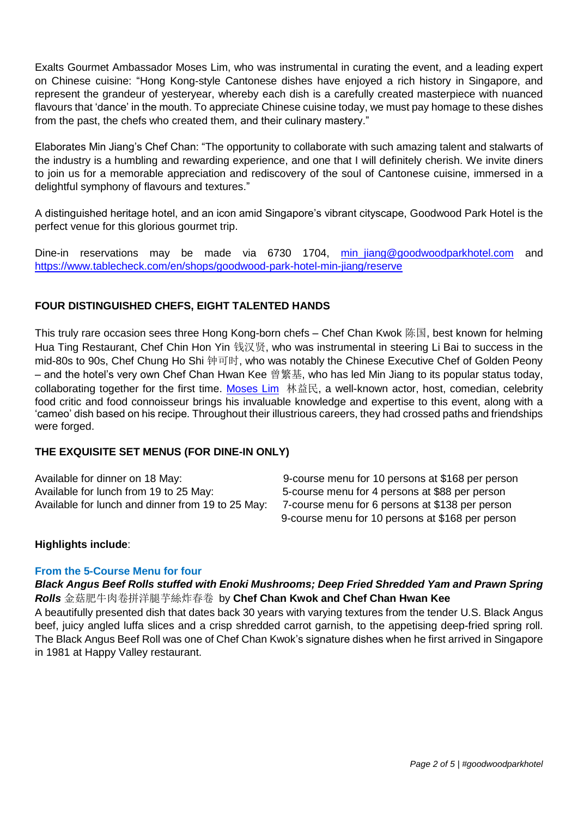Exalts Gourmet Ambassador Moses Lim, who was instrumental in curating the event, and a leading expert on Chinese cuisine: "Hong Kong-style Cantonese dishes have enjoyed a rich history in Singapore, and represent the grandeur of yesteryear, whereby each dish is a carefully created masterpiece with nuanced flavours that 'dance' in the mouth. To appreciate Chinese cuisine today, we must pay homage to these dishes from the past, the chefs who created them, and their culinary mastery."

Elaborates Min Jiang's Chef Chan: "The opportunity to collaborate with such amazing talent and stalwarts of the industry is a humbling and rewarding experience, and one that I will definitely cherish. We invite diners to join us for a memorable appreciation and rediscovery of the soul of Cantonese cuisine, immersed in a delightful symphony of flavours and textures."

A distinguished heritage hotel, and an icon amid Singapore's vibrant cityscape, Goodwood Park Hotel is the perfect venue for this glorious gourmet trip.

Dine-in reservations may be made via 6730 1704, [min\\_jiang@goodwoodparkhotel.com](mailto:min_jiang@goodwoodparkhotel.com) and <https://www.tablecheck.com/en/shops/goodwood-park-hotel-min-jiang/reserve>

# **FOUR DISTINGUISHED CHEFS, EIGHT TALENTED HANDS**

This truly rare occasion sees three Hong Kong-born chefs – Chef Chan Kwok 陈国, best known for helming Hua Ting Restaurant, Chef Chin Hon Yin 钱汉贤, who was instrumental in steering Li Bai to success in the mid-80s to 90s, Chef Chung Ho Shi 钟可时, who was notably the Chinese Executive Chef of Golden Peony – and the hotel's very own Chef Chan Hwan Kee 曾繁基, who has led Min Jiang to its popular status today, collaborating together for the first time. [Moses Lim](https://www.moseslim.com/celebrity-food-critic) 林益民, a well-known actor, host, comedian, celebrity food critic and food connoisseur brings his invaluable knowledge and expertise to this event, along with a 'cameo' dish based on his recipe. Throughout their illustrious careers, they had crossed paths and friendships were forged.

# **THE EXQUISITE SET MENUS (FOR DINE-IN ONLY)**

Available for lunch from 19 to 25 May: 5-course menu for 4 persons at \$88 per person Available for lunch and dinner from 19 to 25 May: 7-course menu for 6 persons at \$138 per person

Available for dinner on 18 May: 9-course menu for 10 persons at \$168 per person 9-course menu for 10 persons at \$168 per person

# **Highlights include**:

## **From the 5-Course Menu for four**

## *Black Angus Beef Rolls stuffed with Enoki Mushrooms; Deep Fried Shredded Yam and Prawn Spring Rolls* 金菇肥牛肉卷拼洋腿芋絲炸春卷 by **Chef Chan Kwok and Chef Chan Hwan Kee**

A beautifully presented dish that dates back 30 years with varying textures from the tender U.S. Black Angus beef, juicy angled luffa slices and a crisp shredded carrot garnish, to the appetising deep-fried spring roll. The Black Angus Beef Roll was one of Chef Chan Kwok's signature dishes when he first arrived in Singapore in 1981 at Happy Valley restaurant.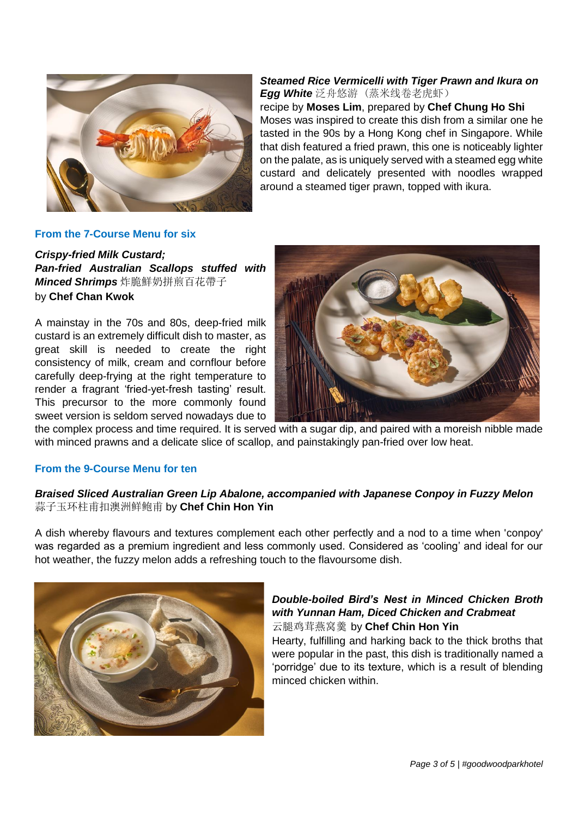

*Steamed Rice Vermicelli with Tiger Prawn and Ikura on Egg White* 泛舟悠游 (蒸米线卷老虎虾) recipe by **Moses Lim**, prepared by **Chef Chung Ho Shi**  Moses was inspired to create this dish from a similar one he tasted in the 90s by a Hong Kong chef in Singapore. While that dish featured a fried prawn, this one is noticeably lighter on the palate, as is uniquely served with a steamed egg white custard and delicately presented with noodles wrapped around a steamed tiger prawn, topped with ikura.

#### **From the 7-Course Menu for six**

*Crispy-fried Milk Custard; Pan-fried Australian Scallops stuffed with Minced Shrimps* 炸脆鮮奶拼煎百花帶子 by **Chef Chan Kwok**

A mainstay in the 70s and 80s, deep-fried milk custard is an extremely difficult dish to master, as great skill is needed to create the right consistency of milk, cream and cornflour before carefully deep-frying at the right temperature to render a fragrant 'fried-yet-fresh tasting' result. This precursor to the more commonly found sweet version is seldom served nowadays due to



the complex process and time required. It is served with a sugar dip, and paired with a moreish nibble made with minced prawns and a delicate slice of scallop, and painstakingly pan-fried over low heat.

#### **From the 9-Course Menu for ten**

#### *Braised Sliced Australian Green Lip Abalone, accompanied with Japanese Conpoy in Fuzzy Melon* 蒜子玉环柱甫扣澳洲鲜鲍甫 by **Chef Chin Hon Yin**

A dish whereby flavours and textures complement each other perfectly and a nod to a time when 'conpoy' was regarded as a premium ingredient and less commonly used. Considered as 'cooling' and ideal for our hot weather, the fuzzy melon adds a refreshing touch to the flavoursome dish.



### *Double-boiled Bird's Nest in Minced Chicken Broth with Yunnan Ham, Diced Chicken and Crabmeat* 云腿鸡茸燕窝羹by **Chef Chin Hon Yin**

Hearty, fulfilling and harking back to the thick broths that were popular in the past, this dish is traditionally named a 'porridge' due to its texture, which is a result of blending minced chicken within.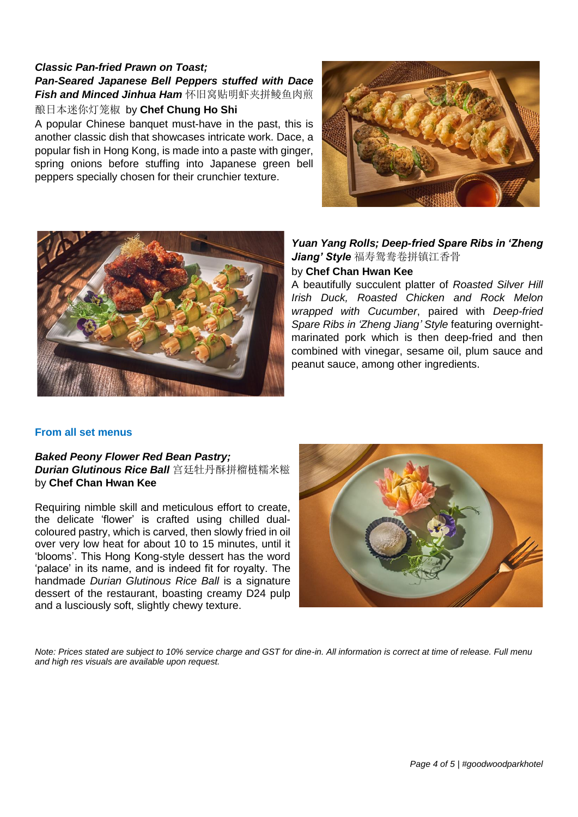# *Classic Pan-fried Prawn on Toast; Pan-Seared Japanese Bell Peppers stuffed with Dace Fish and Minced Jinhua Ham* 怀旧窝贴明虾夹拼鲮鱼肉煎

酿日本迷你灯笼椒 by **Chef Chung Ho Shi**

A popular Chinese banquet must-have in the past, this is another classic dish that showcases intricate work. Dace, a popular fish in Hong Kong, is made into a paste with ginger, spring onions before stuffing into Japanese green bell peppers specially chosen for their crunchier texture.





# *Yuan Yang Rolls; Deep-fried Spare Ribs in 'Zheng Jiang' Style* 福寿鸳鸯卷拼镇江香骨

## by **Chef Chan Hwan Kee**

A beautifully succulent platter of *Roasted Silver Hill Irish Duck, Roasted Chicken and Rock Melon wrapped with Cucumber*, paired with *Deep-fried Spare Ribs in 'Zheng Jiang' Style* featuring overnightmarinated pork which is then deep-fried and then combined with vinegar, sesame oil, plum sauce and peanut sauce, among other ingredients.

#### **From all set menus**

#### *Baked Peony Flower Red Bean Pastry; Durian Glutinous Rice Ball* 宫廷牡丹酥拼榴梿糯米糍 by **Chef Chan Hwan Kee**

Requiring nimble skill and meticulous effort to create, the delicate 'flower' is crafted using chilled dualcoloured pastry, which is carved, then slowly fried in oil over very low heat for about 10 to 15 minutes, until it 'blooms'. This Hong Kong-style dessert has the word 'palace' in its name, and is indeed fit for royalty. The handmade *Durian Glutinous Rice Ball* is a signature dessert of the restaurant, boasting creamy D24 pulp and a lusciously soft, slightly chewy texture.



*Note: Prices stated are subject to 10% service charge and GST for dine-in. All information is correct at time of release. Full menu and high res visuals are available upon request.*